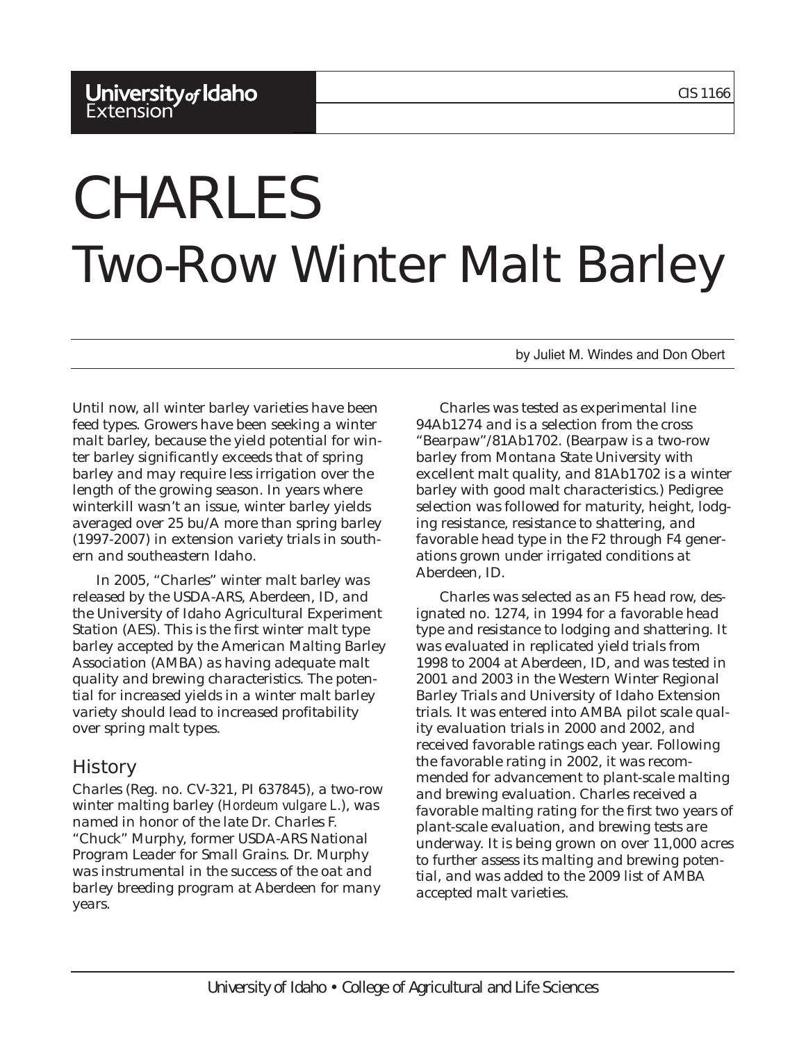#### University of Idaho Extension<sup>®</sup>

# CHARLES Two-Row Winter Malt Barley

by Juliet M. Windes and Don Obert

Until now, all winter barley varieties have been feed types. Growers have been seeking a winter malt barley, because the yield potential for winter barley significantly exceeds that of spring barley and may require less irrigation over the length of the growing season. In years where winterkill wasn't an issue, winter barley yields averaged over 25 bu/A more than spring barley (1997-2007) in extension variety trials in southern and southeastern Idaho.

In 2005, "Charles" winter malt barley was released by the USDA-ARS, Aberdeen, ID, and the University of Idaho Agricultural Experiment Station (AES). This is the first winter malt type barley accepted by the American Malting Barley Association (AMBA) as having adequate malt quality and brewing characteristics. The potential for increased yields in a winter malt barley variety should lead to increased profitability over spring malt types.

## History

Charles (Reg. no. CV-321, PI 637845), a two-row winter malting barley (*Hordeum vulgare L*.), was named in honor of the late Dr. Charles F. "Chuck" Murphy, former USDA-ARS National Program Leader for Small Grains. Dr. Murphy was instrumental in the success of the oat and barley breeding program at Aberdeen for many years.

Charles was tested as experimental line 94Ab1274 and is a selection from the cross "Bearpaw"/81Ab1702. (Bearpaw is a two-row barley from Montana State University with excellent malt quality, and 81Ab1702 is a winter barley with good malt characteristics.) Pedigree selection was followed for maturity, height, lodging resistance, resistance to shattering, and favorable head type in the F2 through F4 generations grown under irrigated conditions at Aberdeen, ID.

Charles was selected as an F5 head row, designated no. 1274, in 1994 for a favorable head type and resistance to lodging and shattering. It was evaluated in replicated yield trials from 1998 to 2004 at Aberdeen, ID, and was tested in 2001 and 2003 in the Western Winter Regional Barley Trials and University of Idaho Extension trials. It was entered into AMBA pilot scale quality evaluation trials in 2000 and 2002, and received favorable ratings each year. Following the favorable rating in 2002, it was recommended for advancement to plant-scale malting and brewing evaluation. Charles received a favorable malting rating for the first two years of plant-scale evaluation, and brewing tests are underway. It is being grown on over 11,000 acres to further assess its malting and brewing potential, and was added to the 2009 list of AMBA accepted malt varieties.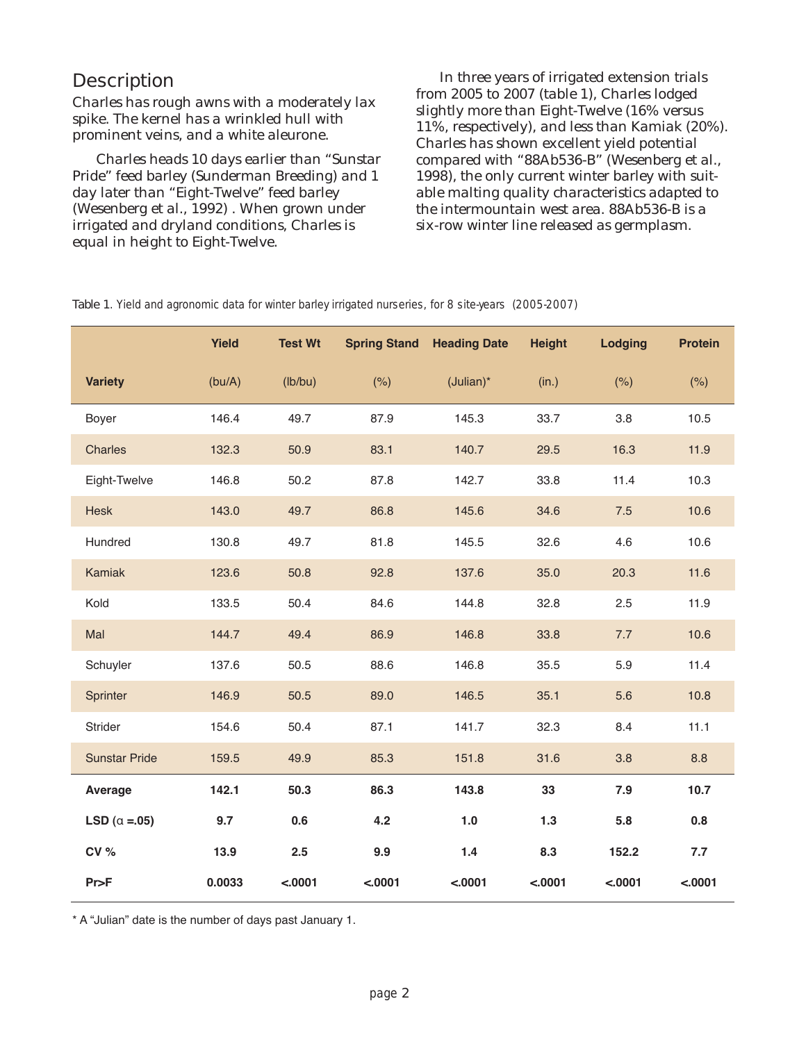### **Description**

Charles has rough awns with a moderately lax spike. The kernel has a wrinkled hull with prominent veins, and a white aleurone.

Charles heads 10 days earlier than "Sunstar Pride" feed barley (Sunderman Breeding) and 1 day later than "Eight-Twelve" feed barley (Wesenberg et al., 1992) . When grown under irrigated and dryland conditions, Charles is equal in height to Eight-Twelve.

In three years of irrigated extension trials from 2005 to 2007 (table 1), Charles lodged slightly more than Eight-Twelve (16% versus 11%, respectively), and less than Kamiak (20%). Charles has shown excellent yield potential compared with "88Ab536-B" (Wesenberg et al., 1998), the only current winter barley with suitable malting quality characteristics adapted to the intermountain west area. 88Ab536-B is a six-row winter line released as germplasm.

|                        | <b>Yield</b> | <b>Test Wt</b> |         | <b>Spring Stand Heading Date</b> | <b>Height</b> | <b>Lodging</b> | <b>Protein</b> |
|------------------------|--------------|----------------|---------|----------------------------------|---------------|----------------|----------------|
| <b>Variety</b>         | (bu/A)       | (lb/bu)        | (% )    | $(Julian)^*$                     | (in.)         | (% )           | (% )           |
| Boyer                  | 146.4        | 49.7           | 87.9    | 145.3                            | 33.7          | 3.8            | 10.5           |
| <b>Charles</b>         | 132.3        | 50.9           | 83.1    | 140.7                            | 29.5          | 16.3           | 11.9           |
| Eight-Twelve           | 146.8        | 50.2           | 87.8    | 142.7                            | 33.8          | 11.4           | 10.3           |
| <b>Hesk</b>            | 143.0        | 49.7           | 86.8    | 145.6                            | 34.6          | 7.5            | 10.6           |
| Hundred                | 130.8        | 49.7           | 81.8    | 145.5                            | 32.6          | 4.6            | 10.6           |
| Kamiak                 | 123.6        | 50.8           | 92.8    | 137.6                            | 35.0          | 20.3           | 11.6           |
| Kold                   | 133.5        | 50.4           | 84.6    | 144.8                            | 32.8          | 2.5            | 11.9           |
| Mal                    | 144.7        | 49.4           | 86.9    | 146.8                            | 33.8          | 7.7            | 10.6           |
| Schuyler               | 137.6        | 50.5           | 88.6    | 146.8                            | 35.5          | 5.9            | 11.4           |
| Sprinter               | 146.9        | 50.5           | 89.0    | 146.5                            | 35.1          | 5.6            | 10.8           |
| Strider                | 154.6        | 50.4           | 87.1    | 141.7                            | 32.3          | 8.4            | 11.1           |
| <b>Sunstar Pride</b>   | 159.5        | 49.9           | 85.3    | 151.8                            | 31.6          | 3.8            | 8.8            |
| Average                | 142.1        | 50.3           | 86.3    | 143.8                            | 33            | 7.9            | 10.7           |
| LSD ( $\alpha = .05$ ) | 9.7          | 0.6            | 4.2     | 1.0                              | 1.3           | 5.8            | 0.8            |
| CV %                   | 13.9         | 2.5            | 9.9     | 1.4                              | 8.3           | 152.2          | 7.7            |
| Pr>F                   | 0.0033       | < .0001        | < .0001 | < .0001                          | < .0001       | < .0001        | < .0001        |

Table 1. Yield and agronomic data for winter barley irrigated nurseries, for 8 site-years (2005-2007)

\* A "Julian" date is the number of days past January 1.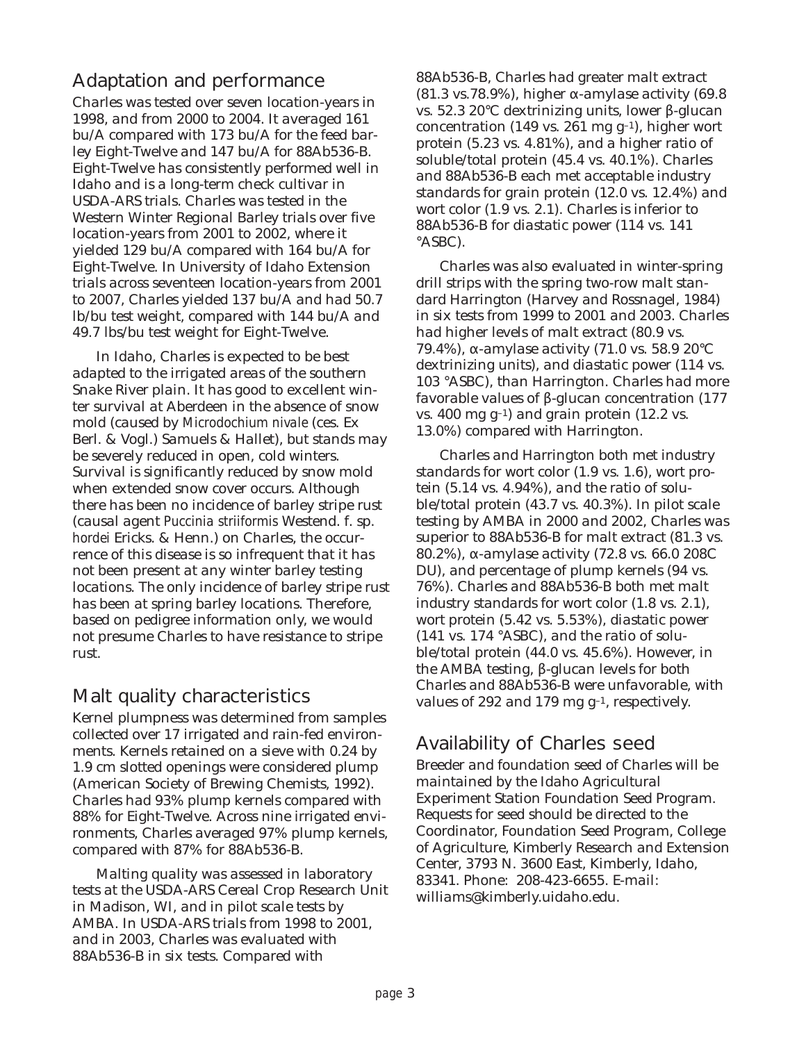### Adaptation and performance

Charles was tested over seven location-years in 1998, and from 2000 to 2004. It averaged 161 bu/A compared with 173 bu/A for the feed barley Eight-Twelve and 147 bu/A for 88Ab536-B. Eight-Twelve has consistently performed well in Idaho and is a long-term check cultivar in USDA-ARS trials. Charles was tested in the Western Winter Regional Barley trials over five location-years from 2001 to 2002, where it yielded 129 bu/A compared with 164 bu/A for Eight-Twelve. In University of Idaho Extension trials across seventeen location-years from 2001 to 2007, Charles yielded 137 bu/A and had 50.7 lb/bu test weight, compared with 144 bu/A and 49.7 lbs/bu test weight for Eight-Twelve.

In Idaho, Charles is expected to be best adapted to the irrigated areas of the southern Snake River plain. It has good to excellent winter survival at Aberdeen in the absence of snow mold (caused by *Microdochium nivale* (ces. Ex Berl. & Vogl.) Samuels & Hallet), but stands may be severely reduced in open, cold winters. Survival is significantly reduced by snow mold when extended snow cover occurs. Although there has been no incidence of barley stripe rust (causal agent *Puccinia striiformis* Westend. f. sp. *hordei* Ericks. & Henn.) on Charles, the occurrence of this disease is so infrequent that it has not been present at any winter barley testing locations. The only incidence of barley stripe rust has been at spring barley locations. Therefore, based on pedigree information only, we would not presume Charles to have resistance to stripe rust.

#### Malt quality characteristics

Kernel plumpness was determined from samples collected over 17 irrigated and rain-fed environments. Kernels retained on a sieve with 0.24 by 1.9 cm slotted openings were considered plump (American Society of Brewing Chemists, 1992). Charles had 93% plump kernels compared with 88% for Eight-Twelve. Across nine irrigated environments, Charles averaged 97% plump kernels, compared with 87% for 88Ab536-B.

Malting quality was assessed in laboratory tests at the USDA-ARS Cereal Crop Research Unit in Madison, WI, and in pilot scale tests by AMBA. In USDA-ARS trials from 1998 to 2001, and in 2003, Charles was evaluated with 88Ab536-B in six tests. Compared with

88Ab536-B, Charles had greater malt extract (81.3 vs. 78.9%), higher  $\alpha$ -amylase activity (69.8) vs. 52.3 20°C dextrinizing units, lower β-glucan concentration (149 vs. 261 mg  $g^{-1}$ ), higher wort protein (5.23 vs. 4.81%), and a higher ratio of soluble/total protein (45.4 vs. 40.1%). Charles and 88Ab536-B each met acceptable industry standards for grain protein (12.0 vs. 12.4%) and wort color (1.9 vs. 2.1). Charles is inferior to 88Ab536-B for diastatic power (114 vs. 141 °ASBC).

Charles was also evaluated in winter-spring drill strips with the spring two-row malt standard Harrington (Harvey and Rossnagel, 1984) in six tests from 1999 to 2001 and 2003. Charles had higher levels of malt extract (80.9 vs. 79.4%), α-amylase activity (71.0 vs. 58.9 20°C dextrinizing units), and diastatic power (114 vs. 103 °ASBC), than Harrington. Charles had more favorable values of β-glucan concentration (177 vs.  $400 \text{ mg g}^{-1}$  and grain protein (12.2 vs. 13.0%) compared with Harrington.

Charles and Harrington both met industry standards for wort color (1.9 vs. 1.6), wort protein (5.14 vs. 4.94%), and the ratio of soluble/total protein (43.7 vs. 40.3%). In pilot scale testing by AMBA in 2000 and 2002, Charles was superior to 88Ab536-B for malt extract (81.3 vs. 80.2%), α-amylase activity (72.8 vs. 66.0 208C DU), and percentage of plump kernels (94 vs. 76%). Charles and 88Ab536-B both met malt industry standards for wort color (1.8 vs. 2.1), wort protein (5.42 vs. 5.53%), diastatic power (141 vs. 174 °ASBC), and the ratio of soluble/total protein (44.0 vs. 45.6%). However, in the AMBA testing, β-glucan levels for both Charles and 88Ab536-B were unfavorable, with values of 292 and 179 mg g–1, respectively.

# Availability of Charles seed

Breeder and foundation seed of Charles will be maintained by the Idaho Agricultural Experiment Station Foundation Seed Program. Requests for seed should be directed to the Coordinator, Foundation Seed Program, College of Agriculture, Kimberly Research and Extension Center, 3793 N. 3600 East, Kimberly, Idaho, 83341. Phone: 208-423-6655. E-mail: williams@kimberly.uidaho.edu.